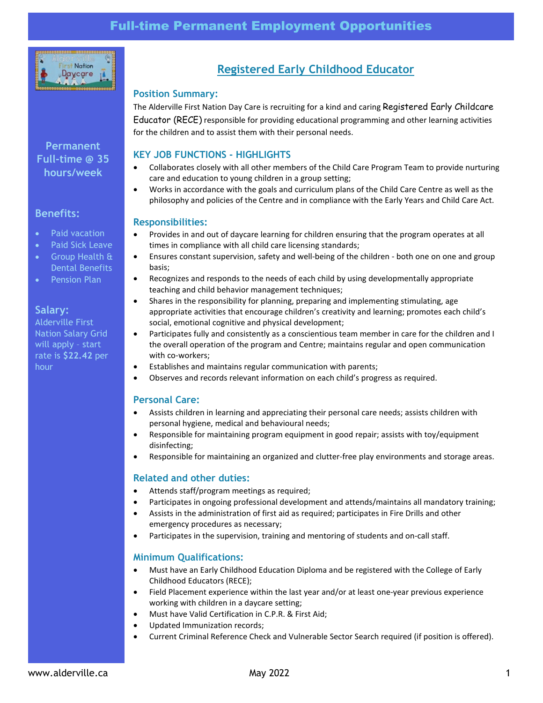

# **Permanent Full-time @ 35 hours/week**

### **Benefits:**

- Paid vacation
- Paid Sick Leave
- Group Health & Dental Benefits
- Pension Plan

#### **Salary:**

Alderville First Nation Salary Grid will apply – start rate is **\$22.42** per hour

# **Registered Early Childhood Educator**

### **Position Summary:**

The Alderville First Nation Day Care is recruiting for a kind and caring Registered Early Childcare Educator (RECE) responsible for providing educational programming and other learning activities for the children and to assist them with their personal needs.

## **KEY JOB FUNCTIONS - HIGHLIGHTS**

- Collaborates closely with all other members of the Child Care Program Team to provide nurturing care and education to young children in a group setting;
- Works in accordance with the goals and curriculum plans of the Child Care Centre as well as the philosophy and policies of the Centre and in compliance with the Early Years and Child Care Act.

#### **Responsibilities:**

- Provides in and out of daycare learning for children ensuring that the program operates at all times in compliance with all child care licensing standards;
- Ensures constant supervision, safety and well-being of the children both one on one and group basis;
- Recognizes and responds to the needs of each child by using developmentally appropriate teaching and child behavior management techniques;
- Shares in the responsibility for planning, preparing and implementing stimulating, age appropriate activities that encourage children's creativity and learning; promotes each child's social, emotional cognitive and physical development;
- Participates fully and consistently as a conscientious team member in care for the children and I the overall operation of the program and Centre; maintains regular and open communication with co-workers;
- Establishes and maintains regular communication with parents;
- Observes and records relevant information on each child's progress as required.

#### **Personal Care:**

- Assists children in learning and appreciating their personal care needs; assists children with personal hygiene, medical and behavioural needs;
- Responsible for maintaining program equipment in good repair; assists with toy/equipment disinfecting;
- Responsible for maintaining an organized and clutter-free play environments and storage areas.

#### **Related and other duties:**

- Attends staff/program meetings as required;
- Participates in ongoing professional development and attends/maintains all mandatory training;
- Assists in the administration of first aid as required; participates in Fire Drills and other emergency procedures as necessary;
- Participates in the supervision, training and mentoring of students and on-call staff.

#### **Minimum Qualifications:**

- Must have an Early Childhood Education Diploma and be registered with the College of Early Childhood Educators (RECE);
- Field Placement experience within the last year and/or at least one-year previous experience working with children in a daycare setting;
- Must have Valid Certification in C.P.R. & First Aid;
- Updated Immunization records;
- Current Criminal Reference Check and Vulnerable Sector Search required (if position is offered).